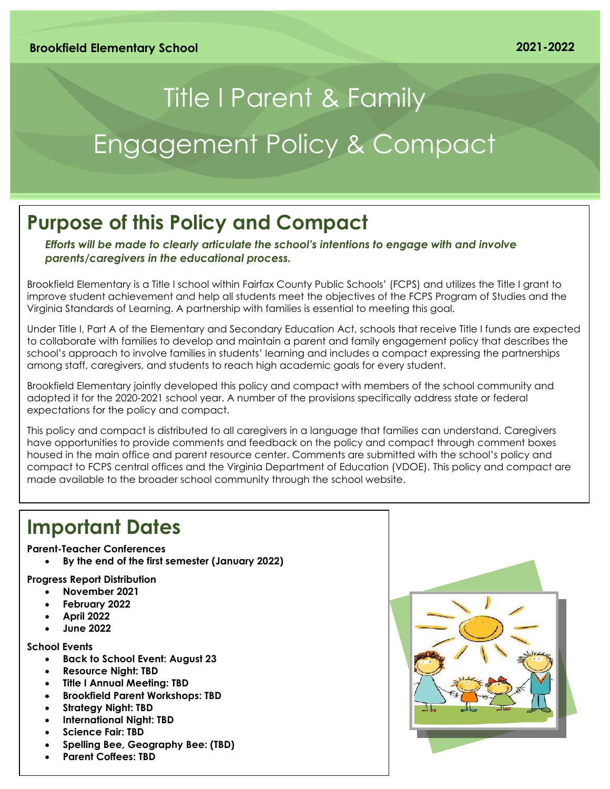# Title I Parent & Family Engagement Policy & Compact

# **Purpose of this Policy and Compact**

*Efforts will be made to clearly articulate the school's intentions to engage with and involve parents/caregivers in the educational process.*

Brookfield Elementary is a Title I school within Fairfax County Public Schools' (FCPS) and utilizes the Title I grant to improve student achievement and help all students meet the objectives of the FCPS Program of Studies and the Virginia Standards of Learning. A partnership with families is essential to meeting this goal.

Under Title I, Part A of the Elementary and Secondary Education Act, schools that receive Title I funds are expected to collaborate with families to develop and maintain a parent and family engagement policy that describes the school's approach to involve families in students' learning and includes a compact expressing the partnerships among staff, caregivers, and students to reach high academic goals for every student.

Brookfield Elementary jointly developed this policy and compact with members of the school community and adopted it for the 2020-2021 school year. A number of the provisions specifically address state or federal expectations for the policy and compact.

This policy and compact is distributed to all caregivers in a language that families can understand. Caregivers have opportunities to provide comments and feedback on the policy and compact through comment boxes housed in the main office and parent resource center. Comments are submitted with the school's policy and compact to FCPS central offices and the Virginia Department of Education (VDOE). This policy and compact are made available to the broader school community through the school website.

### **Important Dates**

### **Parent-Teacher Conferences**

• **By the end of the first semester (January 2022)**

### **Progress Report Distribution**

- **November 2021**
- **February 2022**
- **April 2022**
- **June 2022**

### **School Events**

- **Back to School Event: August 23**
- **Resource Night: TBD**
- **Title I Annual Meeting: TBD**
- **Brookfield Parent Workshops: TBD**
- **Strategy Night: TBD**
- **International Night: TBD**
- **Science Fair: TBD**
- **Spelling Bee, Geography Bee: (TBD)**
- **Parent Coffees: TBD**

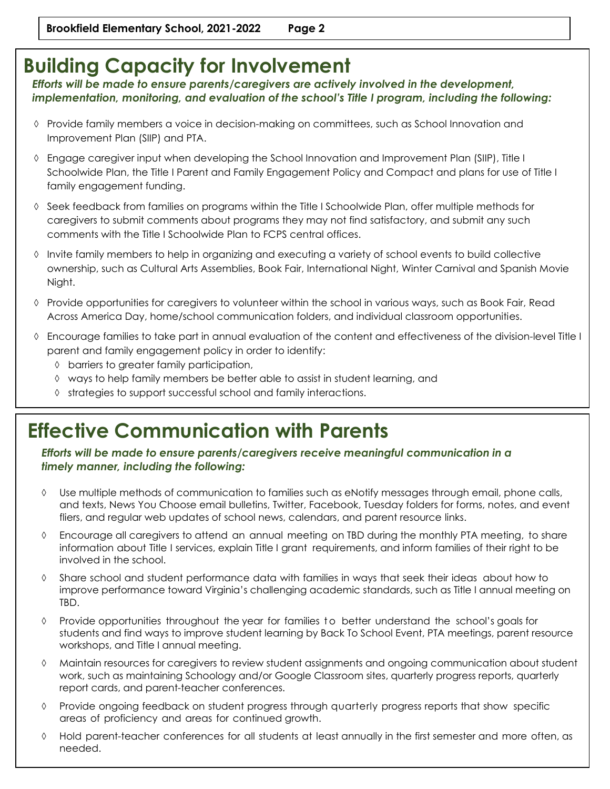### **Building Capacity for Involvement**

*Efforts will be made to ensure parents/caregivers are actively involved in the development, implementation, monitoring, and evaluation of the school's Title I program, including the following:*

- $\Diamond$  Provide family members a voice in decision-making on committees, such as School Innovation and Improvement Plan (SIIP) and PTA.
- Engage caregiver input when developing the School Innovation and Improvement Plan (SIIP), Title I Schoolwide Plan, the Title I Parent and Family Engagement Policy and Compact and plans for use of Title I family engagement funding.
- $\Diamond$  Seek feedback from families on programs within the Title I Schoolwide Plan, offer multiple methods for caregivers to submit comments about programs they may not find satisfactory, and submit any such comments with the Title I Schoolwide Plan to FCPS central offices.
- Invite family members to help in organizing and executing a variety of school events to build collective ownership, such as Cultural Arts Assemblies, Book Fair, International Night, Winter Carnival and Spanish Movie Night.
- $\Diamond$  Provide opportunities for caregivers to volunteer within the school in various ways, such as Book Fair, Read Across America Day, home/school communication folders, and individual classroom opportunities.
- Encourage families to take part in annual evaluation of the content and effectiveness of the division-level Title I parent and family engagement policy in order to identify:
	- barriers to greater family participation,
	- ways to help family members be better able to assist in student learning, and
	- $\Diamond$  strategies to support successful school and family interactions.

# **Effective Communication with Parents**

*Efforts will be made to ensure parents/caregivers receive meaningful communication in a timely manner, including the following:*

- Use multiple methods of communication to families such as eNotify messages through email, phone calls, and texts, News You Choose email bulletins, Twitter, Facebook, Tuesday folders for forms, notes, and event fliers, and regular web updates of school news, calendars, and parent resource links.
- Encourage all caregivers to attend an annual meeting on TBD during the monthly PTA meeting, to share information about Title I services, explain Title I grant requirements, and inform families of their right to be involved in the school.
- $\Diamond$  Share school and student performance data with families in ways that seek their ideas about how to improve performance toward Virginia's challenging academic standards, such as Title I annual meeting on TBD.
- $\Diamond$  Provide opportunities throughout the year for families to better understand the school's goals for students and find ways to improve student learning by Back To School Event, PTA meetings, parent resource workshops, and Title I annual meeting.
- Maintain resources for caregivers to review student assignments and ongoing communication about student work, such as maintaining Schoology and/or Google Classroom sites, quarterly progress reports, quarterly report cards, and parent-teacher conferences.
- Provide ongoing feedback on student progress through quarterly progress reports that show specific areas of proficiency and areas for continued growth.
- Hold parent-teacher conferences for all students at least annually in the first semester and more often, as needed.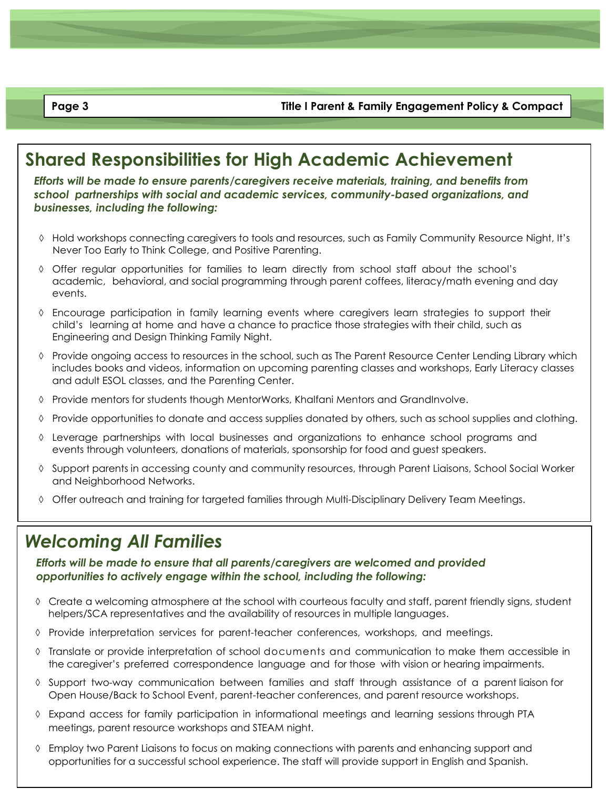**Page 3 Title I Parent & Family Engagement Policy & Compact**

### **Shared Responsibilities for High Academic Achievement**

*Efforts will be made to ensure parents/caregivers receive materials, training, and benefits from school partnerships with social and academic services, community-based organizations, and businesses, including the following:*

- $\Diamond$  Hold workshops connecting caregivers to tools and resources, such as Family Community Resource Night, It's Never Too Early to Think College, and Positive Parenting.
- Offer regular opportunities for families to learn directly from school staff about the school's academic, behavioral, and social programming through parent coffees, literacy/math evening and day events.
- Encourage participation in family learning events where caregivers learn strategies to support their child's learning at home and have a chance to practice those strategies with their child, such as Engineering and Design Thinking Family Night.
- $\Diamond$  Provide ongoing access to resources in the school, such as The Parent Resource Center Lending Library which includes books and videos, information on upcoming parenting classes and workshops, Early Literacy classes and adult ESOL classes, and the Parenting Center.
- $\Diamond$  Provide mentors for students though MentorWorks, Khalfani Mentors and GrandInvolve.
- $\Diamond$  Provide opportunities to donate and access supplies donated by others, such as school supplies and clothing.
- $\Diamond$  Leverage partnerships with local businesses and organizations to enhance school programs and events through volunteers, donations of materials, sponsorship for food and guest speakers.
- $\Diamond$  Support parents in accessing county and community resources, through Parent Liaisons, School Social Worker and Neighborhood Networks.
- $\Diamond$  Offer outreach and training for targeted families through Multi-Disciplinary Delivery Team Meetings.

### *Welcoming All Families*

*Efforts will be made to ensure that all parents/caregivers are welcomed and provided opportunities to actively engage within the school, including the following:*

- $\Diamond$  Create a welcoming atmosphere at the school with courteous faculty and staff, parent friendly signs, student helpers/SCA representatives and the availability of resources in multiple languages.
- $\Diamond$  Provide interpretation services for parent-teacher conferences, workshops, and meetings.
- Translate or provide interpretation of school documents and communication to make them accessible in the caregiver's preferred correspondence language and for those with vision or hearing impairments.
- $\Diamond$  Support two-way communication between families and staff through assistance of a parent liaison for Open House/Back to School Event, parent-teacher conferences, and parent resource workshops.
- Expand access for family participation in informational meetings and learning sessions through PTA meetings, parent resource workshops and STEAM night.
- $\Diamond$  Employ two Parent Liaisons to focus on making connections with parents and enhancing support and opportunities for a successful school experience. The staff will provide support in English and Spanish.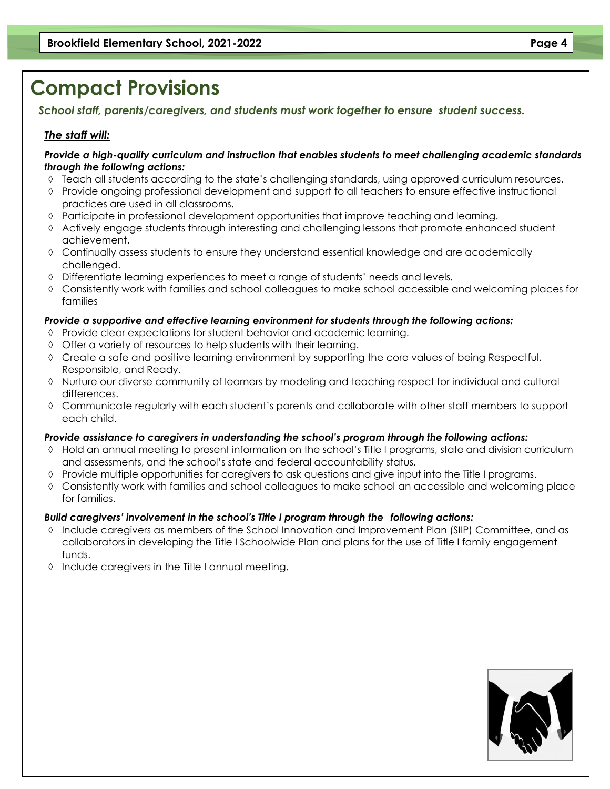# **Compact Provisions**

*School staff, parents/caregivers, and students must work together to ensure student success.* 

### *The staff will:*

#### *Provide a high-quality curriculum and instruction that enables students to meet challenging academic standards through the following actions:*

- $\Diamond$  Teach all students according to the state's challenging standards, using approved curriculum resources.
- $\Diamond$  Provide ongoing professional development and support to all teachers to ensure effective instructional practices are used in all classrooms.
- $\Diamond$  Participate in professional development opportunities that improve teaching and learning.
- $\Diamond$  Actively engage students through interesting and challenging lessons that promote enhanced student achievement.
- Continually assess students to ensure they understand essential knowledge and are academically challenged.
- $\Diamond$  Differentiate learning experiences to meet a range of students' needs and levels.
- Consistently work with families and school colleagues to make school accessible and welcoming places for families

### *Provide a supportive and effective learning environment for students through the following actions:*

- $\Diamond$  Provide clear expectations for student behavior and academic learning.
- $\Diamond$  Offer a variety of resources to help students with their learning.
- $\Diamond$  Create a safe and positive learning environment by supporting the core values of being Respectful, Responsible, and Ready.
- Nurture our diverse community of learners by modeling and teaching respect for individual and cultural differences.
- Communicate regularly with each student's parents and collaborate with other staff members to support each child.

### *Provide assistance to caregivers in understanding the school's program through the following actions:*

- Hold an annual meeting to present information on the school's Title I programs, state and division curriculum and assessments, and the school's state and federal accountability status.
- Provide multiple opportunities for caregivers to ask questions and give input into the Title I programs.
- Consistently work with families and school colleagues to make school an accessible and welcoming place for families.

### *Build caregivers' involvement in the school's Title I program through the following actions:*

- Include caregivers as members of the School Innovation and Improvement Plan (SIIP) Committee, and as collaborators in developing the Title I Schoolwide Plan and plans for the use of Title I family engagement funds.
- $\Diamond$  Include caregivers in the Title I annual meeting.